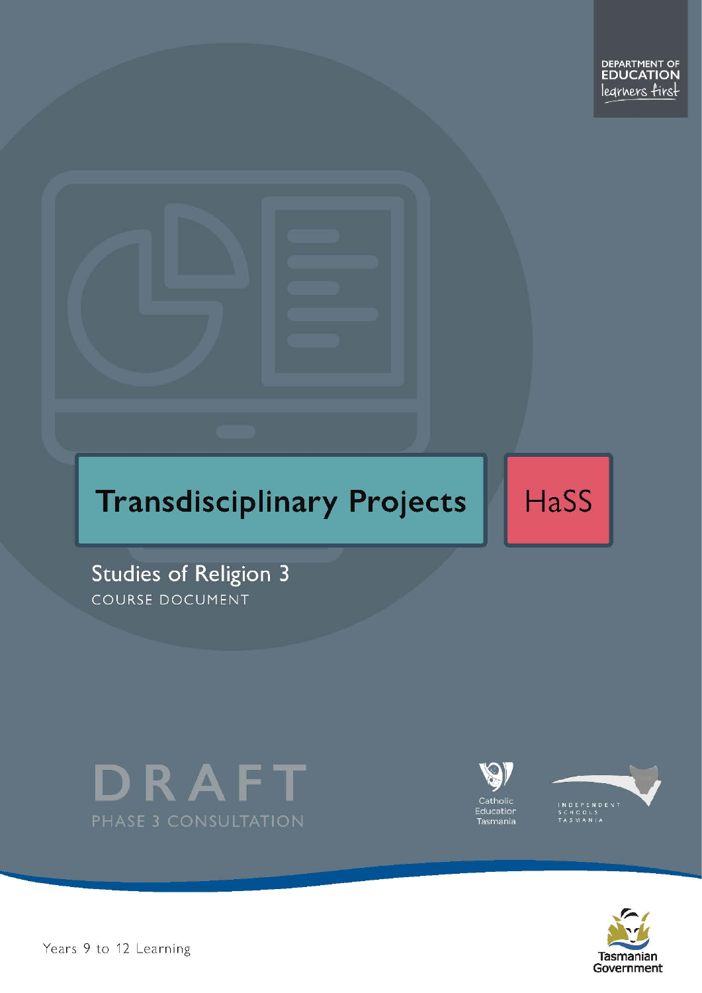# **Transdisciplinary Projects**

HaSS

Studies of Religion 3 COURSE DOCUMENT







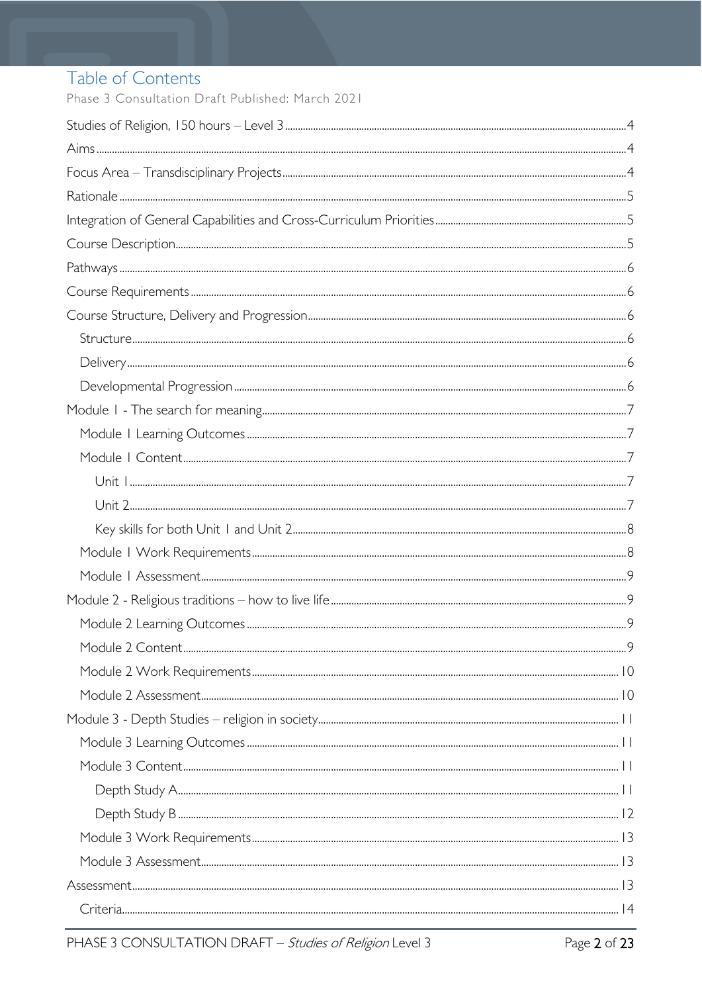# Table of Contents

Phase 3 Consultation Draft Published: March 2021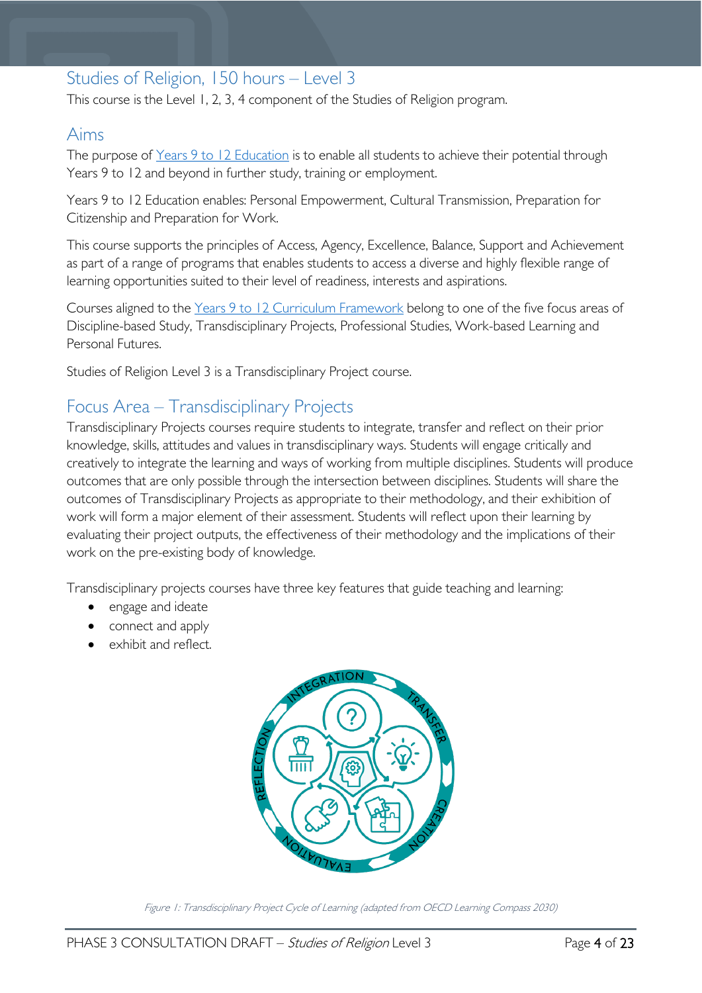# <span id="page-3-0"></span>Studies of Religion, 150 hours – Level 3

This course is the Level 1, 2, 3, 4 component of the Studies of Religion program.

## <span id="page-3-1"></span>Aims

The purpose of Years 9 to 12 [Education](https://publicdocumentcentre.education.tas.gov.au/library/Shared%20Documents/Years-9-to-12-Education-Framework.pdf) is to enable all students to achieve their potential through Years 9 to 12 and beyond in further study, training or employment.

Years 9 to 12 Education enables: Personal Empowerment, Cultural Transmission, Preparation for Citizenship and Preparation for Work.

This course supports the principles of Access, Agency, Excellence, Balance, Support and Achievement as part of a range of programs that enables students to access a diverse and highly flexible range of learning opportunities suited to their level of readiness, interests and aspirations.

Courses aligned to the Years 9 to 12 Curriculum [Framework](https://publicdocumentcentre.education.tas.gov.au/library/Shared%20Documents/Education%209-12%20Frameworks%20A3%20WEB%20POSTER.pdf) belong to one of the five focus areas of Discipline-based Study, Transdisciplinary Projects, Professional Studies, Work-based Learning and Personal Futures.

Studies of Religion Level 3 is a Transdisciplinary Project course.

# <span id="page-3-2"></span>Focus Area – Transdisciplinary Projects

Transdisciplinary Projects courses require students to integrate, transfer and reflect on their prior knowledge, skills, attitudes and values in transdisciplinary ways. Students will engage critically and creatively to integrate the learning and ways of working from multiple disciplines. Students will produce outcomes that are only possible through the intersection between disciplines. Students will share the outcomes of Transdisciplinary Projects as appropriate to their methodology, and their exhibition of work will form a major element of their assessment. Students will reflect upon their learning by evaluating their project outputs, the effectiveness of their methodology and the implications of their work on the pre-existing body of knowledge.

Transdisciplinary projects courses have three key features that guide teaching and learning:

- engage and ideate
- connect and apply
- exhibit and reflect.



Figure 1: Transdisciplinary Project Cycle of Learning (adapted from OECD Learning Compass 2030)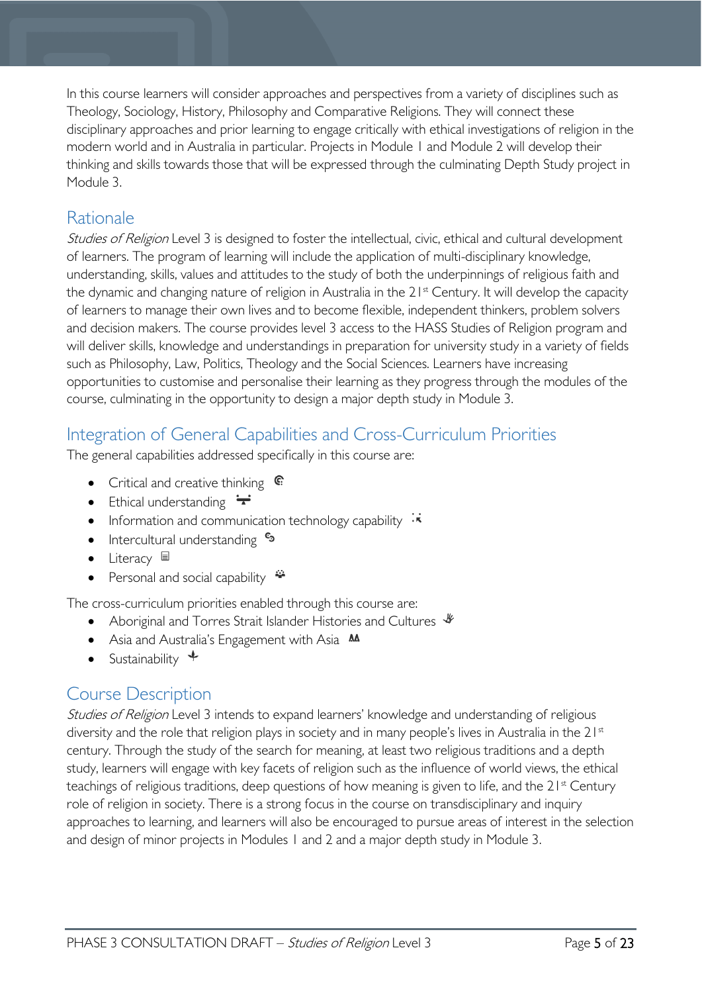In this course learners will consider approaches and perspectives from a variety of disciplines such as Theology, Sociology, History, Philosophy and Comparative Religions. They will connect these disciplinary approaches and prior learning to engage critically with ethical investigations of religion in the modern world and in Australia in particular. Projects in Module 1 and Module 2 will develop their thinking and skills towards those that will be expressed through the culminating Depth Study project in Module 3.

# <span id="page-4-0"></span>Rationale

Studies of Religion Level 3 is designed to foster the intellectual, civic, ethical and cultural development of learners. The program of learning will include the application of multi-disciplinary knowledge, understanding, skills, values and attitudes to the study of both the underpinnings of religious faith and the dynamic and changing nature of religion in Australia in the 21<sup>st</sup> Century. It will develop the capacity of learners to manage their own lives and to become flexible, independent thinkers, problem solvers and decision makers. The course provides level 3 access to the HASS Studies of Religion program and will deliver skills, knowledge and understandings in preparation for university study in a variety of fields such as Philosophy, Law, Politics, Theology and the Social Sciences. Learners have increasing opportunities to customise and personalise their learning as they progress through the modules of the course, culminating in the opportunity to design a major depth study in Module 3.

# <span id="page-4-1"></span>Integration of General Capabilities and Cross-Curriculum Priorities

The general capabilities addressed specifically in this course are:

- Critical and creative thinking  $\mathbb{C}$
- Ethical understanding  $\div$
- Information and communication technology capability  $\cdot \cdot$
- Intercultural understanding  $\frac{c_3}{ }$
- Literacy  $\blacksquare$
- Personal and social capability

The cross-curriculum priorities enabled through this course are:

- Aboriginal and Torres Strait Islander Histories and Cultures  $\mathscr W$
- Asia and Australia's Engagement with Asia **AA**
- Sustainability  $\triangleleft$

# <span id="page-4-2"></span>Course Description

Studies of Religion Level 3 intends to expand learners' knowledge and understanding of religious diversity and the role that religion plays in society and in many people's lives in Australia in the 21<sup>st</sup> century. Through the study of the search for meaning, at least two religious traditions and a depth study, learners will engage with key facets of religion such as the influence of world views, the ethical teachings of religious traditions, deep questions of how meaning is given to life, and the  $21<sup>st</sup>$  Century role of religion in society. There is a strong focus in the course on transdisciplinary and inquiry approaches to learning, and learners will also be encouraged to pursue areas of interest in the selection and design of minor projects in Modules 1 and 2 and a major depth study in Module 3.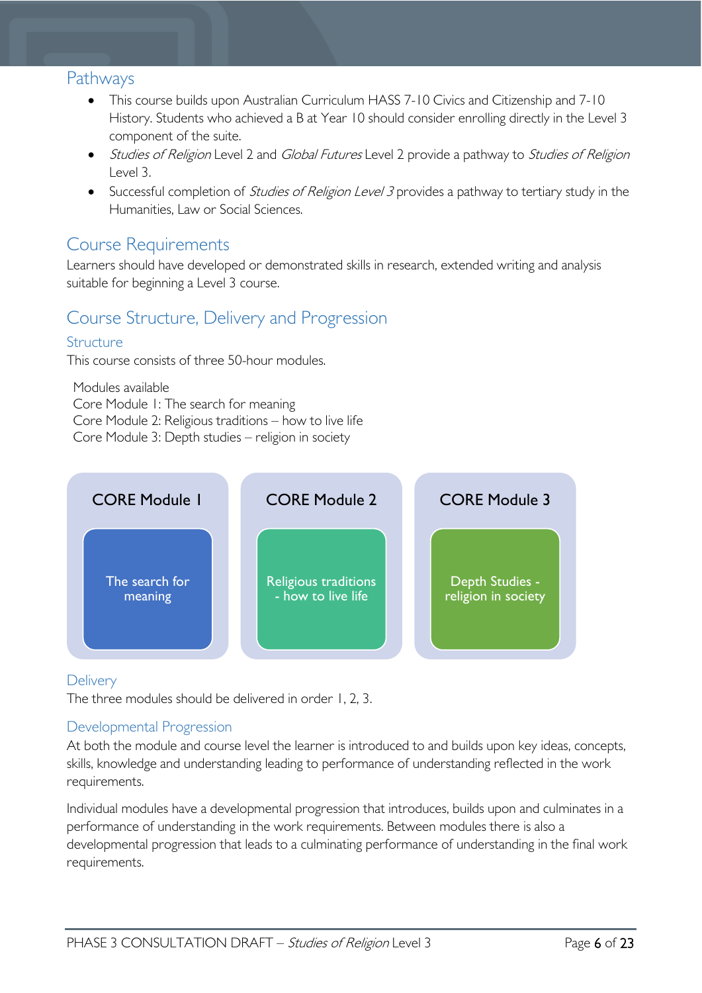## <span id="page-5-0"></span>Pathways

- This course builds upon Australian Curriculum HASS 7-10 Civics and Citizenship and 7-10 History. Students who achieved a B at Year 10 should consider enrolling directly in the Level 3 component of the suite.
- Studies of Religion Level 2 and Global Futures Level 2 provide a pathway to Studies of Religion Level 3.
- Successful completion of *Studies of Religion Level 3* provides a pathway to tertiary study in the Humanities, Law or Social Sciences.

# <span id="page-5-1"></span>Course Requirements

Learners should have developed or demonstrated skills in research, extended writing and analysis suitable for beginning a Level 3 course.

# <span id="page-5-2"></span>Course Structure, Delivery and Progression

### <span id="page-5-3"></span>Structure

This course consists of three 50-hour modules.

Modules available Core Module 1: The search for meaning Core Module 2: Religious traditions – how to live life Core Module 3: Depth studies – religion in society



### <span id="page-5-4"></span>**Delivery**

The three modules should be delivered in order 1, 2, 3.

#### <span id="page-5-5"></span>Developmental Progression

At both the module and course level the learner is introduced to and builds upon key ideas, concepts, skills, knowledge and understanding leading to performance of understanding reflected in the work requirements.

Individual modules have a developmental progression that introduces, builds upon and culminates in a performance of understanding in the work requirements. Between modules there is also a developmental progression that leads to a culminating performance of understanding in the final work requirements.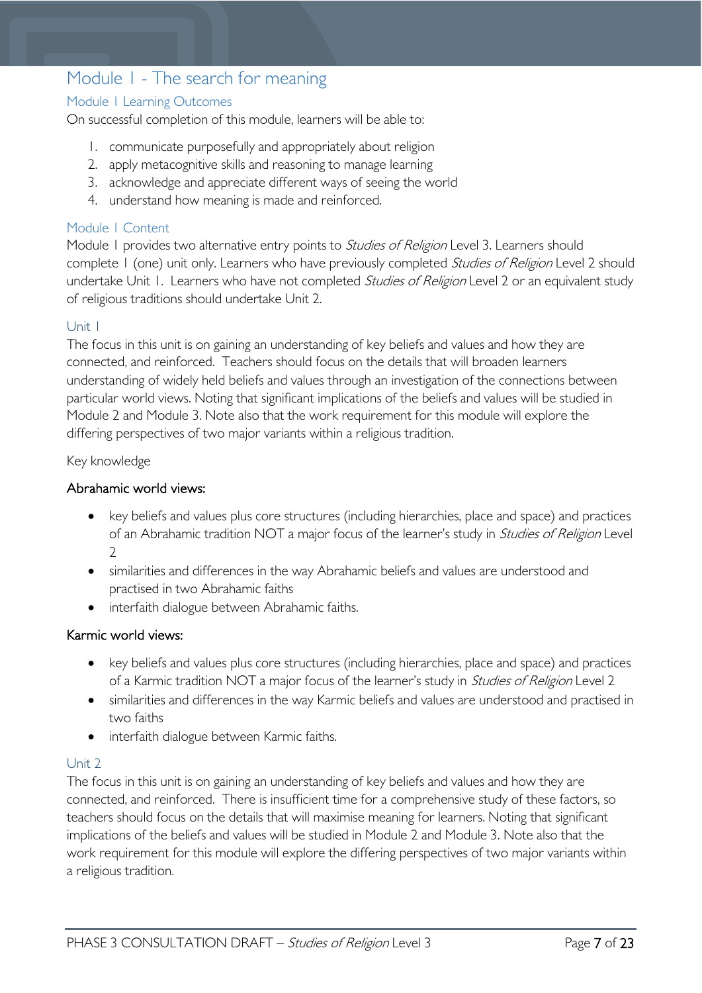# <span id="page-6-0"></span>Module 1 - The search for meaning

#### <span id="page-6-1"></span>Module 1 Learning Outcomes

On successful completion of this module, learners will be able to:

- 1. communicate purposefully and appropriately about religion
- 2. apply metacognitive skills and reasoning to manage learning
- 3. acknowledge and appreciate different ways of seeing the world
- 4. understand how meaning is made and reinforced.

#### <span id="page-6-2"></span>Module 1 Content

Module 1 provides two alternative entry points to Studies of Religion Level 3. Learners should complete 1 (one) unit only. Learners who have previously completed Studies of Religion Level 2 should undertake Unit 1. Learners who have not completed *Studies of Religion* Level 2 or an equivalent study of religious traditions should undertake Unit 2.

#### <span id="page-6-3"></span>Unit 1

The focus in this unit is on gaining an understanding of key beliefs and values and how they are connected, and reinforced. Teachers should focus on the details that will broaden learners understanding of widely held beliefs and values through an investigation of the connections between particular world views. Noting that significant implications of the beliefs and values will be studied in Module 2 and Module 3. Note also that the work requirement for this module will explore the differing perspectives of two major variants within a religious tradition.

Key knowledge

#### Abrahamic world views:

- key beliefs and values plus core structures (including hierarchies, place and space) and practices of an Abrahamic tradition NOT a major focus of the learner's study in Studies of Religion Level  $\mathcal{L}$
- similarities and differences in the way Abrahamic beliefs and values are understood and practised in two Abrahamic faiths
- interfaith dialogue between Abrahamic faiths.

#### Karmic world views:

- key beliefs and values plus core structures (including hierarchies, place and space) and practices of a Karmic tradition NOT a major focus of the learner's study in *Studies of Religion* Level 2
- similarities and differences in the way Karmic beliefs and values are understood and practised in two faiths
- interfaith dialogue between Karmic faiths.

#### <span id="page-6-4"></span>Unit 2

The focus in this unit is on gaining an understanding of key beliefs and values and how they are connected, and reinforced. There is insufficient time for a comprehensive study of these factors, so teachers should focus on the details that will maximise meaning for learners. Noting that significant implications of the beliefs and values will be studied in Module 2 and Module 3. Note also that the work requirement for this module will explore the differing perspectives of two major variants within a religious tradition.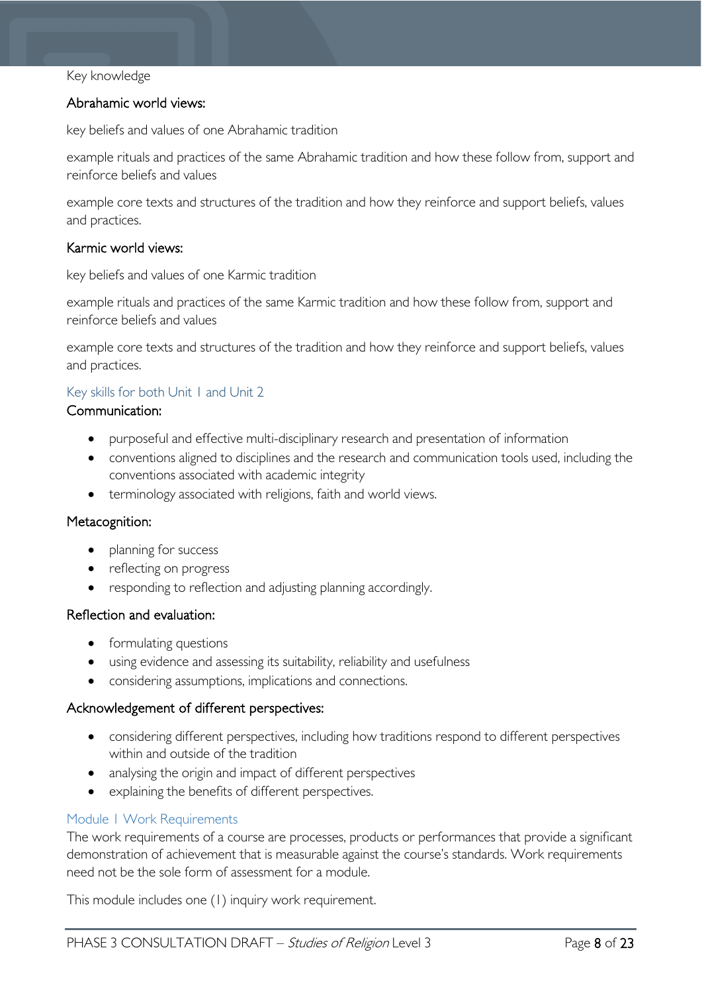#### Key knowledge

#### Abrahamic world views:

key beliefs and values of one Abrahamic tradition

example rituals and practices of the same Abrahamic tradition and how these follow from, support and reinforce beliefs and values

example core texts and structures of the tradition and how they reinforce and support beliefs, values and practices.

#### Karmic world views:

key beliefs and values of one Karmic tradition

example rituals and practices of the same Karmic tradition and how these follow from, support and reinforce beliefs and values

example core texts and structures of the tradition and how they reinforce and support beliefs, values and practices.

#### <span id="page-7-0"></span>Key skills for both Unit 1 and Unit 2

#### Communication:

- purposeful and effective multi-disciplinary research and presentation of information
- conventions aligned to disciplines and the research and communication tools used, including the conventions associated with academic integrity
- terminology associated with religions, faith and world views.

#### Metacognition:

- planning for success
- reflecting on progress
- responding to reflection and adjusting planning accordingly.

#### Reflection and evaluation:

- formulating questions
- using evidence and assessing its suitability, reliability and usefulness
- considering assumptions, implications and connections.

#### Acknowledgement of different perspectives:

- considering different perspectives, including how traditions respond to different perspectives within and outside of the tradition
- analysing the origin and impact of different perspectives
- explaining the benefits of different perspectives.

#### <span id="page-7-1"></span>Module 1 Work Requirements

The work requirements of a course are processes, products or performances that provide a significant demonstration of achievement that is measurable against the course's standards. Work requirements need not be the sole form of assessment for a module.

This module includes one (1) inquiry work requirement.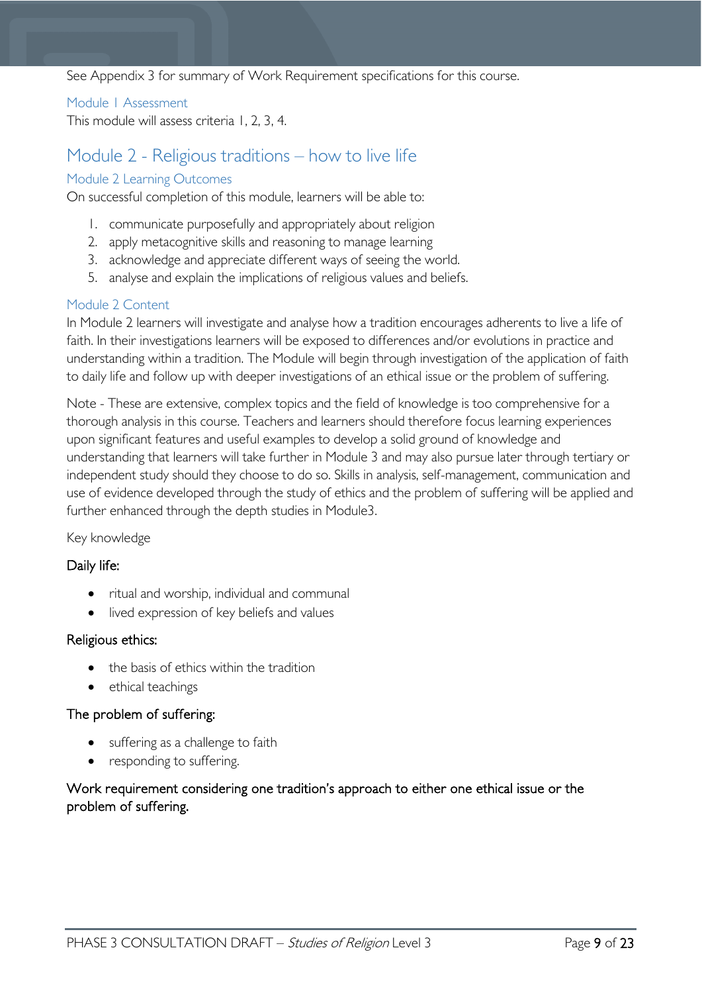#### See Appendix 3 for summary of Work Requirement specifications for this course.

#### <span id="page-8-0"></span>Module 1 Assessment

This module will assess criteria 1, 2, 3, 4.

### <span id="page-8-1"></span>Module 2 - Religious traditions – how to live life

#### <span id="page-8-2"></span>Module 2 Learning Outcomes

On successful completion of this module, learners will be able to:

- 1. communicate purposefully and appropriately about religion
- 2. apply metacognitive skills and reasoning to manage learning
- 3. acknowledge and appreciate different ways of seeing the world.
- 5. analyse and explain the implications of religious values and beliefs.

#### <span id="page-8-3"></span>Module 2 Content

In Module 2 learners will investigate and analyse how a tradition encourages adherents to live a life of faith. In their investigations learners will be exposed to differences and/or evolutions in practice and understanding within a tradition. The Module will begin through investigation of the application of faith to daily life and follow up with deeper investigations of an ethical issue or the problem of suffering.

Note - These are extensive, complex topics and the field of knowledge is too comprehensive for a thorough analysis in this course. Teachers and learners should therefore focus learning experiences upon significant features and useful examples to develop a solid ground of knowledge and understanding that learners will take further in Module 3 and may also pursue later through tertiary or independent study should they choose to do so. Skills in analysis, self-management, communication and use of evidence developed through the study of ethics and the problem of suffering will be applied and further enhanced through the depth studies in Module3.

#### Key knowledge

#### Daily life:

- ritual and worship, individual and communal
- lived expression of key beliefs and values

#### Religious ethics:

- the basis of ethics within the tradition
- ethical teachings

#### The problem of suffering:

- suffering as a challenge to faith
- responding to suffering.

#### Work requirement considering one tradition's approach to either one ethical issue or the problem of suffering.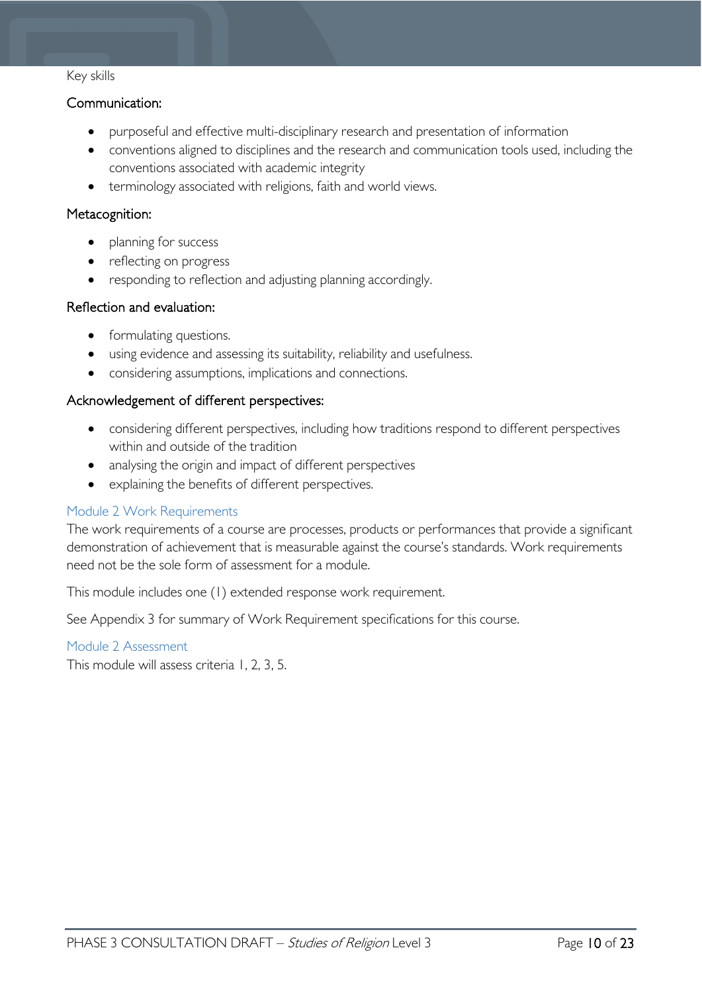#### Key skills

#### Communication:

- purposeful and effective multi-disciplinary research and presentation of information
- conventions aligned to disciplines and the research and communication tools used, including the conventions associated with academic integrity
- terminology associated with religions, faith and world views.

#### Metacognition:

- planning for success
- reflecting on progress
- responding to reflection and adjusting planning accordingly.

#### Reflection and evaluation:

- formulating questions.
- using evidence and assessing its suitability, reliability and usefulness.
- considering assumptions, implications and connections.

#### Acknowledgement of different perspectives:

- considering different perspectives, including how traditions respond to different perspectives within and outside of the tradition
- analysing the origin and impact of different perspectives
- explaining the benefits of different perspectives.

#### <span id="page-9-0"></span>Module 2 Work Requirements

The work requirements of a course are processes, products or performances that provide a significant demonstration of achievement that is measurable against the course's standards. Work requirements need not be the sole form of assessment for a module.

This module includes one (1) extended response work requirement.

See Appendix 3 for summary of Work Requirement specifications for this course.

#### <span id="page-9-1"></span>Module 2 Assessment

This module will assess criteria 1, 2, 3, 5.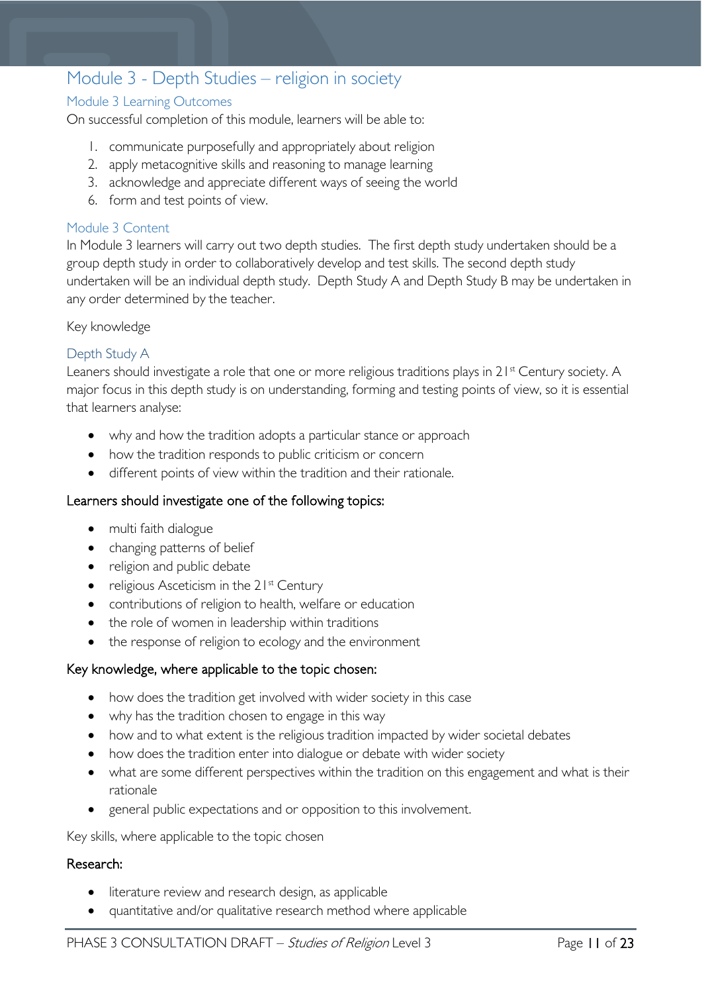# <span id="page-10-0"></span>Module 3 - Depth Studies – religion in society

#### <span id="page-10-1"></span>Module 3 Learning Outcomes

On successful completion of this module, learners will be able to:

- 1. communicate purposefully and appropriately about religion
- 2. apply metacognitive skills and reasoning to manage learning
- 3. acknowledge and appreciate different ways of seeing the world
- 6. form and test points of view.

#### <span id="page-10-2"></span>Module 3 Content

In Module 3 learners will carry out two depth studies. The first depth study undertaken should be a group depth study in order to collaboratively develop and test skills. The second depth study undertaken will be an individual depth study. Depth Study A and Depth Study B may be undertaken in any order determined by the teacher.

Key knowledge

#### <span id="page-10-3"></span>Depth Study A

Leaners should investigate a role that one or more religious traditions plays in 21<sup>st</sup> Century society. A major focus in this depth study is on understanding, forming and testing points of view, so it is essential that learners analyse:

- why and how the tradition adopts a particular stance or approach
- how the tradition responds to public criticism or concern
- different points of view within the tradition and their rationale.

#### Learners should investigate one of the following topics:

- multi faith dialogue
- changing patterns of belief
- religion and public debate
- religious Asceticism in the  $21^{st}$  Century
- contributions of religion to health, welfare or education
- the role of women in leadership within traditions
- the response of religion to ecology and the environment

#### Key knowledge, where applicable to the topic chosen:

- how does the tradition get involved with wider society in this case
- why has the tradition chosen to engage in this way
- how and to what extent is the religious tradition impacted by wider societal debates
- how does the tradition enter into dialogue or debate with wider society
- what are some different perspectives within the tradition on this engagement and what is their rationale
- general public expectations and or opposition to this involvement.

Key skills, where applicable to the topic chosen

#### Research:

- literature review and research design, as applicable
- quantitative and/or qualitative research method where applicable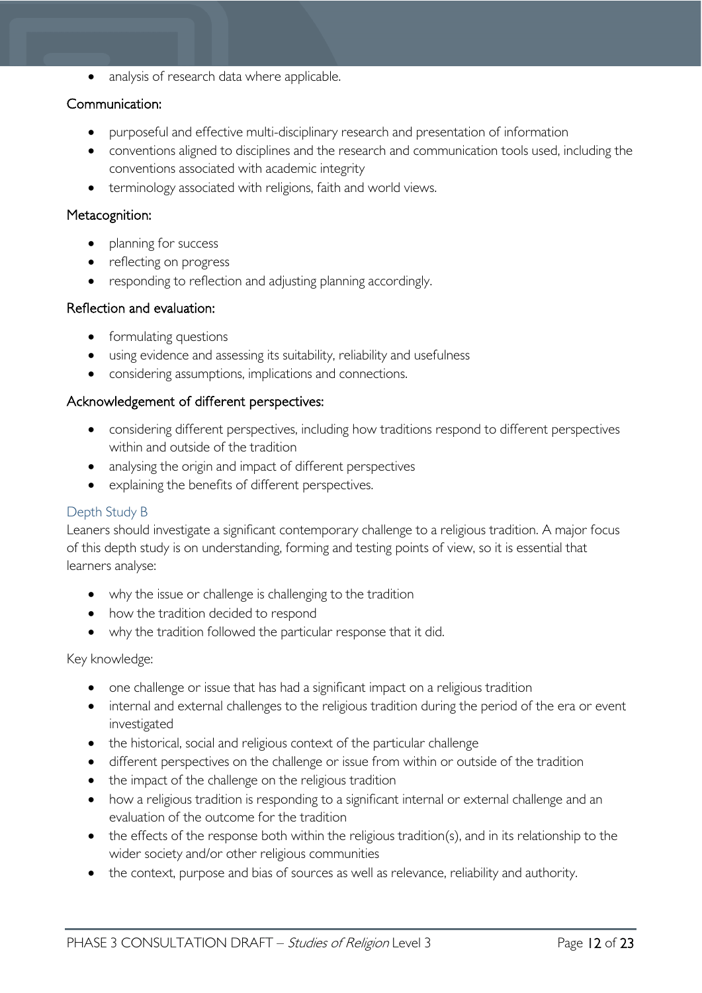• analysis of research data where applicable.

#### Communication:

- purposeful and effective multi-disciplinary research and presentation of information
- conventions aligned to disciplines and the research and communication tools used, including the conventions associated with academic integrity
- terminology associated with religions, faith and world views.

#### Metacognition:

- planning for success
- reflecting on progress
- responding to reflection and adjusting planning accordingly.

#### Reflection and evaluation:

- formulating questions
- using evidence and assessing its suitability, reliability and usefulness
- considering assumptions, implications and connections.

#### Acknowledgement of different perspectives:

- considering different perspectives, including how traditions respond to different perspectives within and outside of the tradition
- analysing the origin and impact of different perspectives
- explaining the benefits of different perspectives.

#### <span id="page-11-0"></span>Depth Study B

Leaners should investigate a significant contemporary challenge to a religious tradition. A major focus of this depth study is on understanding, forming and testing points of view, so it is essential that learners analyse:

- why the issue or challenge is challenging to the tradition
- how the tradition decided to respond
- why the tradition followed the particular response that it did.

#### Key knowledge:

- one challenge or issue that has had a significant impact on a religious tradition
- internal and external challenges to the religious tradition during the period of the era or event investigated
- the historical, social and religious context of the particular challenge
- different perspectives on the challenge or issue from within or outside of the tradition
- the impact of the challenge on the religious tradition
- how a religious tradition is responding to a significant internal or external challenge and an evaluation of the outcome for the tradition
- the effects of the response both within the religious tradition(s), and in its relationship to the wider society and/or other religious communities
- the context, purpose and bias of sources as well as relevance, reliability and authority.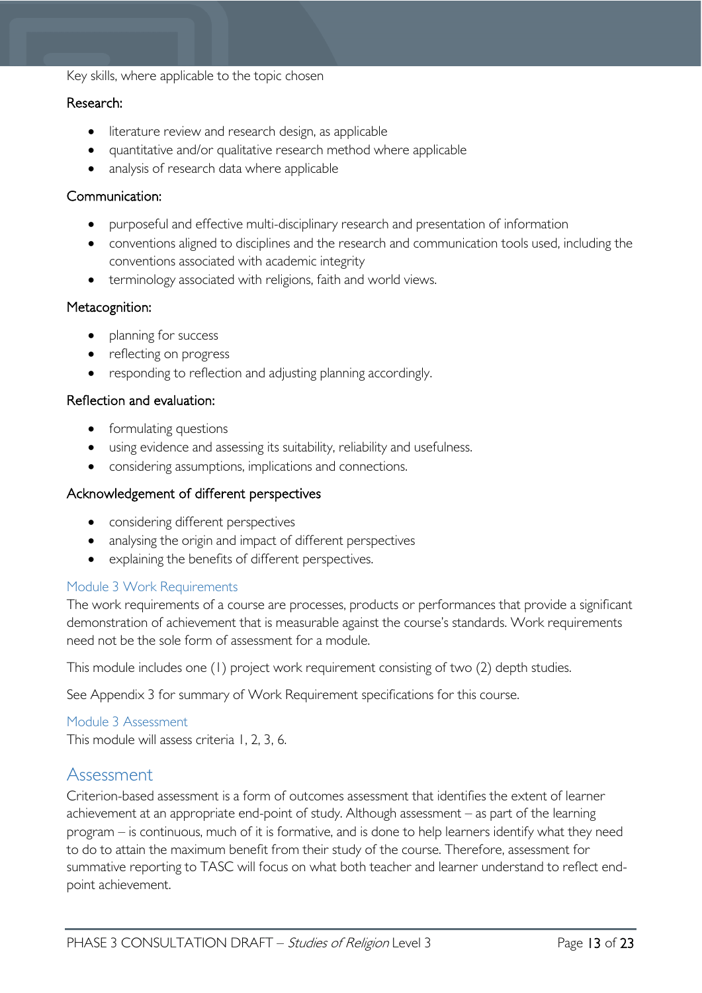#### Key skills, where applicable to the topic chosen

#### Research:

- literature review and research design, as applicable
- quantitative and/or qualitative research method where applicable
- analysis of research data where applicable

#### Communication:

- purposeful and effective multi-disciplinary research and presentation of information
- conventions aligned to disciplines and the research and communication tools used, including the conventions associated with academic integrity
- terminology associated with religions, faith and world views.

#### Metacognition:

- planning for success
- reflecting on progress
- responding to reflection and adjusting planning accordingly.

#### Reflection and evaluation:

- formulating questions
- using evidence and assessing its suitability, reliability and usefulness.
- considering assumptions, implications and connections.

#### Acknowledgement of different perspectives

- considering different perspectives
- analysing the origin and impact of different perspectives
- explaining the benefits of different perspectives.

#### <span id="page-12-0"></span>Module 3 Work Requirements

The work requirements of a course are processes, products or performances that provide a significant demonstration of achievement that is measurable against the course's standards. Work requirements need not be the sole form of assessment for a module.

This module includes one (1) project work requirement consisting of two (2) depth studies.

See Appendix 3 for summary of Work Requirement specifications for this course.

#### <span id="page-12-1"></span>Module 3 Assessment

This module will assess criteria 1, 2, 3, 6.

### <span id="page-12-2"></span>Assessment

Criterion-based assessment is a form of outcomes assessment that identifies the extent of learner achievement at an appropriate end-point of study. Although assessment – as part of the learning program – is continuous, much of it is formative, and is done to help learners identify what they need to do to attain the maximum benefit from their study of the course. Therefore, assessment for summative reporting to TASC will focus on what both teacher and learner understand to reflect endpoint achievement.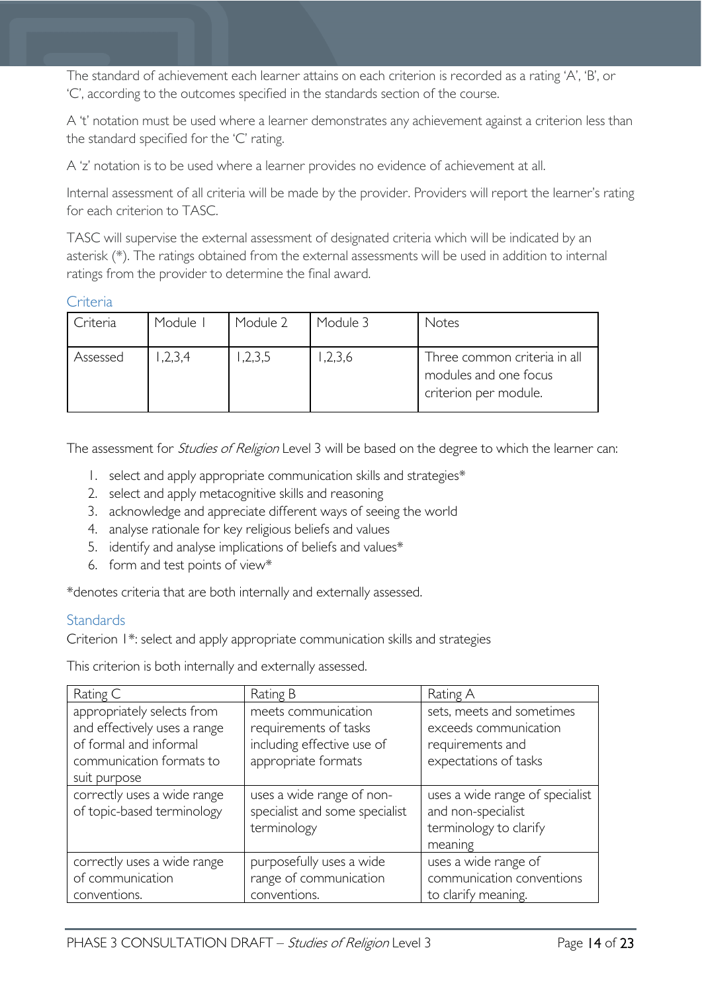The standard of achievement each learner attains on each criterion is recorded as a rating 'A', 'B', or 'C', according to the outcomes specified in the standards section of the course.

A 't' notation must be used where a learner demonstrates any achievement against a criterion less than the standard specified for the 'C' rating.

A 'z' notation is to be used where a learner provides no evidence of achievement at all.

Internal assessment of all criteria will be made by the provider. Providers will report the learner's rating for each criterion to TASC.

TASC will supervise the external assessment of designated criteria which will be indicated by an asterisk (\*). The ratings obtained from the external assessments will be used in addition to internal ratings from the provider to determine the final award.

#### <span id="page-13-0"></span>**Criteria**

| Criteria | Module | Module 2 | Module 3 | Notes                                                                          |
|----------|--------|----------|----------|--------------------------------------------------------------------------------|
| Assessed | ,2,3,4 | 1,2,3,5  | 1,2,3,6  | Three common criteria in all<br>modules and one focus<br>criterion per module. |

The assessment for *Studies of Religion* Level 3 will be based on the degree to which the learner can:

- 1. select and apply appropriate communication skills and strategies\*
- 2. select and apply metacognitive skills and reasoning
- 3. acknowledge and appreciate different ways of seeing the world
- 4. analyse rationale for key religious beliefs and values
- 5. identify and analyse implications of beliefs and values\*
- 6. form and test points of view\*

\*denotes criteria that are both internally and externally assessed.

#### <span id="page-13-1"></span>**Standards**

Criterion 1\*: select and apply appropriate communication skills and strategies

This criterion is both internally and externally assessed.

| Rating C                                                                                                                         | Rating B                                                                                          | Rating A                                                                                        |
|----------------------------------------------------------------------------------------------------------------------------------|---------------------------------------------------------------------------------------------------|-------------------------------------------------------------------------------------------------|
| appropriately selects from<br>and effectively uses a range<br>of formal and informal<br>communication formats to<br>suit purpose | meets communication<br>requirements of tasks<br>including effective use of<br>appropriate formats | sets, meets and sometimes<br>exceeds communication<br>requirements and<br>expectations of tasks |
| correctly uses a wide range<br>of topic-based terminology                                                                        | uses a wide range of non-<br>specialist and some specialist<br>terminology                        | uses a wide range of specialist<br>and non-specialist<br>terminology to clarify<br>meaning      |
| correctly uses a wide range<br>of communication<br>conventions.                                                                  | purposefully uses a wide<br>range of communication<br>conventions.                                | uses a wide range of<br>communication conventions<br>to clarify meaning.                        |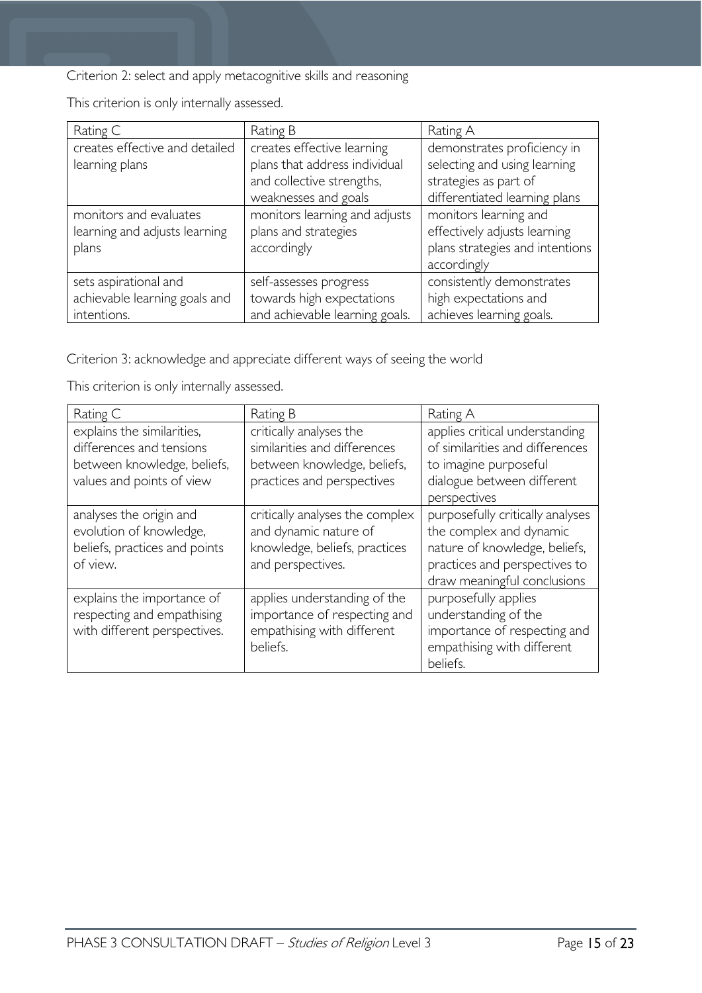Criterion 2: select and apply metacognitive skills and reasoning

| Rating C                       | Rating B                       | Rating A                        |
|--------------------------------|--------------------------------|---------------------------------|
| creates effective and detailed | creates effective learning     | demonstrates proficiency in     |
| learning plans                 | plans that address individual  | selecting and using learning    |
|                                | and collective strengths,      | strategies as part of           |
|                                | weaknesses and goals           | differentiated learning plans   |
| monitors and evaluates         | monitors learning and adjusts  | monitors learning and           |
| learning and adjusts learning  | plans and strategies           | effectively adjusts learning    |
| plans                          | accordingly                    | plans strategies and intentions |
|                                |                                | accordingly                     |
| sets aspirational and          | self-assesses progress         | consistently demonstrates       |
| achievable learning goals and  | towards high expectations      | high expectations and           |
| intentions.                    | and achievable learning goals. | achieves learning goals.        |

This criterion is only internally assessed.

Criterion 3: acknowledge and appreciate different ways of seeing the world

This criterion is only internally assessed.

| Rating C                                                                                                           | Rating B                                                                                                             | Rating A                                                                                                                                                     |
|--------------------------------------------------------------------------------------------------------------------|----------------------------------------------------------------------------------------------------------------------|--------------------------------------------------------------------------------------------------------------------------------------------------------------|
| explains the similarities,<br>differences and tensions<br>between knowledge, beliefs,<br>values and points of view | critically analyses the<br>similarities and differences<br>between knowledge, beliefs,<br>practices and perspectives | applies critical understanding<br>of similarities and differences<br>to imagine purposeful<br>dialogue between different<br>perspectives                     |
| analyses the origin and<br>evolution of knowledge,<br>beliefs, practices and points<br>of view.                    | critically analyses the complex<br>and dynamic nature of<br>knowledge, beliefs, practices<br>and perspectives.       | purposefully critically analyses<br>the complex and dynamic<br>nature of knowledge, beliefs,<br>practices and perspectives to<br>draw meaningful conclusions |
| explains the importance of<br>respecting and empathising<br>with different perspectives.                           | applies understanding of the<br>importance of respecting and<br>empathising with different<br>beliefs.               | purposefully applies<br>understanding of the<br>importance of respecting and<br>empathising with different<br>beliefs.                                       |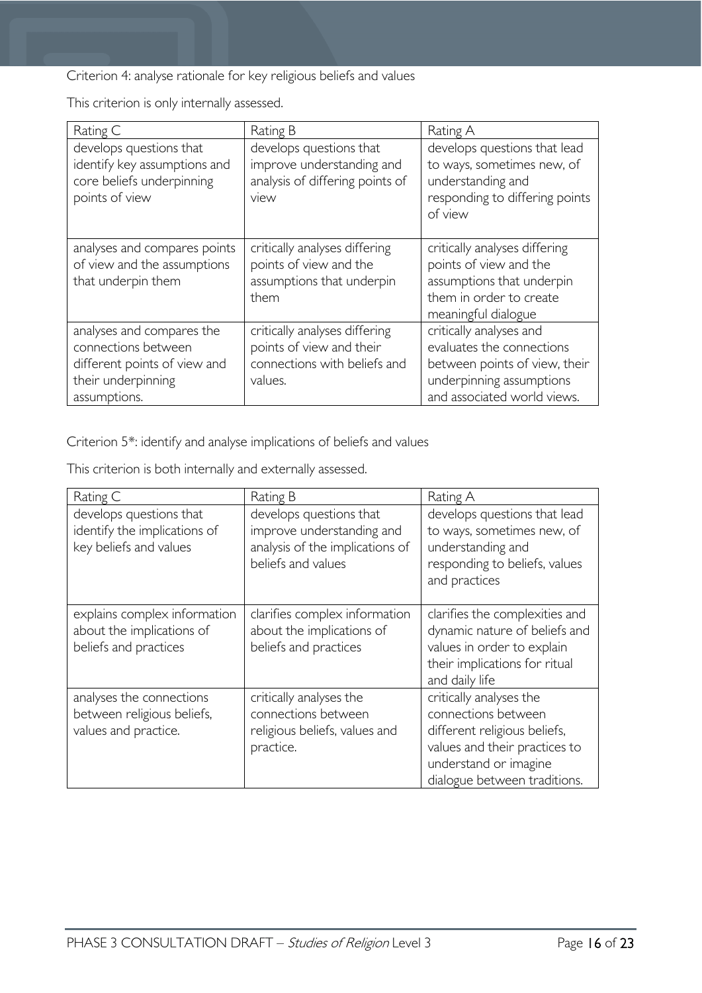Criterion 4: analyse rationale for key religious beliefs and values

This criterion is only internally assessed.

| Rating C                                                                                                               | Rating B                                                                                             | Rating A                                                                                                                                         |
|------------------------------------------------------------------------------------------------------------------------|------------------------------------------------------------------------------------------------------|--------------------------------------------------------------------------------------------------------------------------------------------------|
| develops questions that<br>identify key assumptions and<br>core beliefs underpinning<br>points of view                 | develops questions that<br>improve understanding and<br>analysis of differing points of<br>view      | develops questions that lead<br>to ways, sometimes new, of<br>understanding and<br>responding to differing points<br>of view                     |
| analyses and compares points<br>of view and the assumptions<br>that underpin them                                      | critically analyses differing<br>points of view and the<br>assumptions that underpin<br>them         | critically analyses differing<br>points of view and the<br>assumptions that underpin<br>them in order to create<br>meaningful dialogue           |
| analyses and compares the<br>connections between<br>different points of view and<br>their underpinning<br>assumptions. | critically analyses differing<br>points of view and their<br>connections with beliefs and<br>values. | critically analyses and<br>evaluates the connections<br>between points of view, their<br>underpinning assumptions<br>and associated world views. |

Criterion 5\*: identify and analyse implications of beliefs and values

This criterion is both internally and externally assessed.

| Rating C                                                                           | Rating B                                                                                                      | Rating A                                                                                                                                                                 |
|------------------------------------------------------------------------------------|---------------------------------------------------------------------------------------------------------------|--------------------------------------------------------------------------------------------------------------------------------------------------------------------------|
| develops questions that<br>identify the implications of<br>key beliefs and values  | develops questions that<br>improve understanding and<br>analysis of the implications of<br>beliefs and values | develops questions that lead<br>to ways, sometimes new, of<br>understanding and<br>responding to beliefs, values<br>and practices                                        |
| explains complex information<br>about the implications of<br>beliefs and practices | clarifies complex information<br>about the implications of<br>beliefs and practices                           | clarifies the complexities and<br>dynamic nature of beliefs and<br>values in order to explain<br>their implications for ritual<br>and daily life                         |
| analyses the connections<br>between religious beliefs,<br>values and practice.     | critically analyses the<br>connections between<br>religious beliefs, values and<br>practice.                  | critically analyses the<br>connections between<br>different religious beliefs,<br>values and their practices to<br>understand or imagine<br>dialogue between traditions. |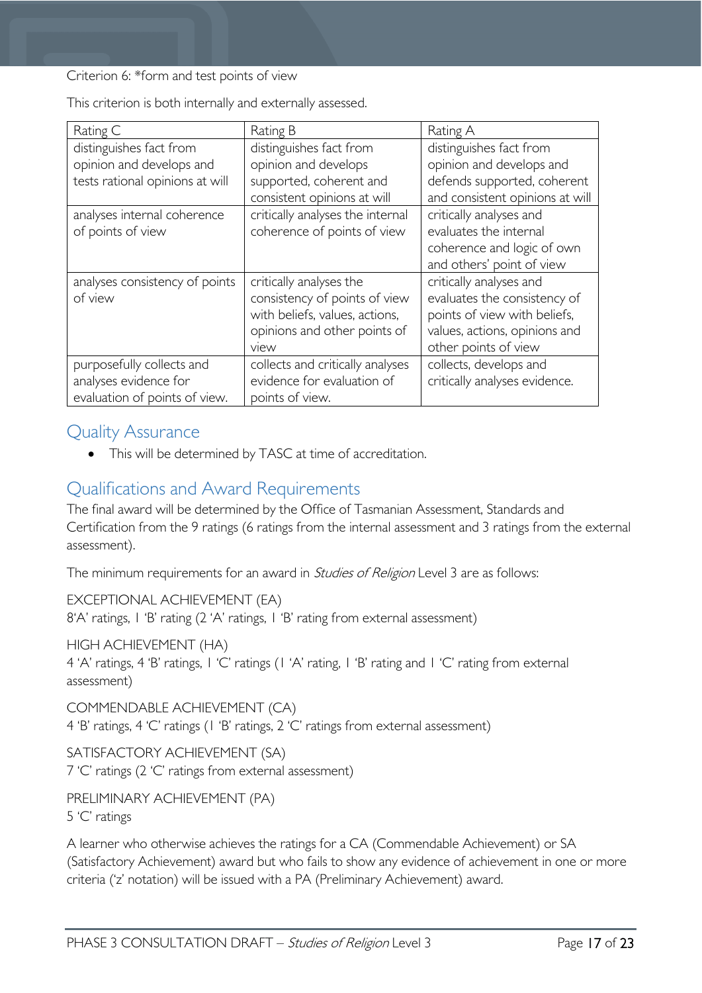Criterion 6: \*form and test points of view

| Rating C                        | Rating B                         | Rating A                        |
|---------------------------------|----------------------------------|---------------------------------|
| distinguishes fact from         | distinguishes fact from          | distinguishes fact from         |
| opinion and develops and        | opinion and develops             | opinion and develops and        |
| tests rational opinions at will | supported, coherent and          | defends supported, coherent     |
|                                 | consistent opinions at will      | and consistent opinions at will |
| analyses internal coherence     | critically analyses the internal | critically analyses and         |
| of points of view               | coherence of points of view      | evaluates the internal          |
|                                 |                                  | coherence and logic of own      |
|                                 |                                  | and others' point of view       |
| analyses consistency of points  | critically analyses the          | critically analyses and         |
| of view                         | consistency of points of view    | evaluates the consistency of    |
|                                 | with beliefs, values, actions,   | points of view with beliefs,    |
|                                 | opinions and other points of     | values, actions, opinions and   |
|                                 | view                             | other points of view            |
| purposefully collects and       | collects and critically analyses | collects, develops and          |
| analyses evidence for           | evidence for evaluation of       | critically analyses evidence.   |
| evaluation of points of view.   | points of view.                  |                                 |

This criterion is both internally and externally assessed.

### <span id="page-16-0"></span>Quality Assurance

• This will be determined by TASC at time of accreditation.

# <span id="page-16-1"></span>Qualifications and Award Requirements

The final award will be determined by the Office of Tasmanian Assessment, Standards and Certification from the 9 ratings (6 ratings from the internal assessment and 3 ratings from the external assessment).

The minimum requirements for an award in *Studies of Religion* Level 3 are as follows:

EXCEPTIONAL ACHIEVEMENT (EA) 8'A' ratings, 1 'B' rating (2 'A' ratings, 1 'B' rating from external assessment)

HIGH ACHIEVEMENT (HA)

4 'A' ratings, 4 'B' ratings, 1 'C' ratings (1 'A' rating, 1 'B' rating and 1 'C' rating from external assessment)

COMMENDABLE ACHIEVEMENT (CA) 4 'B' ratings, 4 'C' ratings (1 'B' ratings, 2 'C' ratings from external assessment)

SATISFACTORY ACHIEVEMENT (SA) 7 'C' ratings (2 'C' ratings from external assessment)

PRELIMINARY ACHIEVEMENT (PA) 5 'C' ratings

A learner who otherwise achieves the ratings for a CA (Commendable Achievement) or SA (Satisfactory Achievement) award but who fails to show any evidence of achievement in one or more criteria ('z' notation) will be issued with a PA (Preliminary Achievement) award.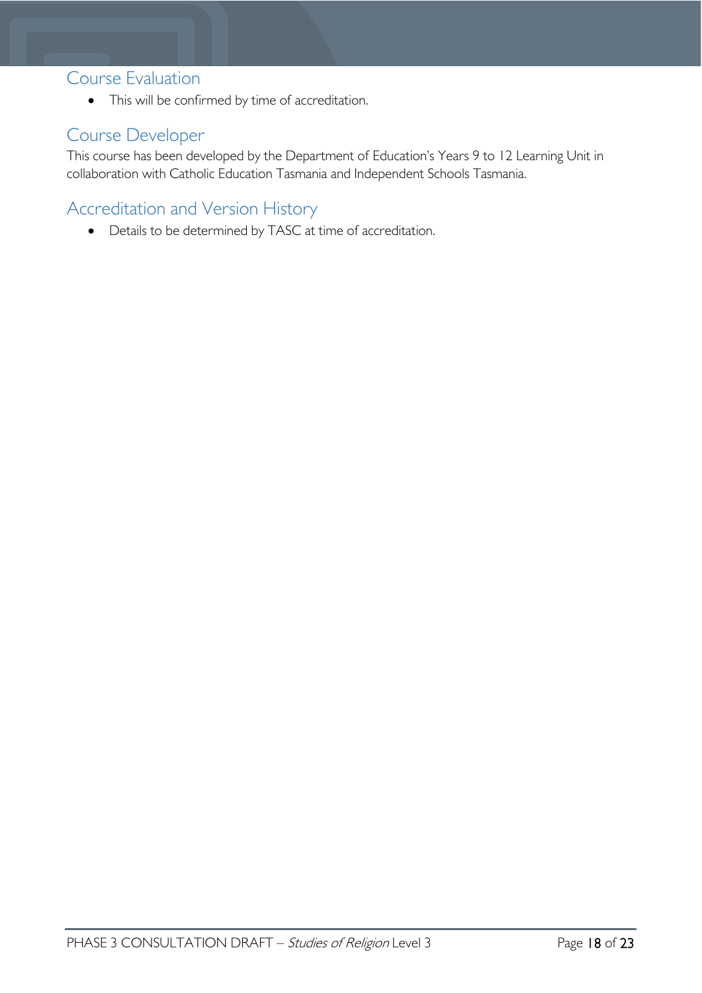### <span id="page-17-0"></span>Course Evaluation

• This will be confirmed by time of accreditation.

# <span id="page-17-1"></span>Course Developer

This course has been developed by the Department of Education's Years 9 to 12 Learning Unit in collaboration with Catholic Education Tasmania and Independent Schools Tasmania.

# <span id="page-17-2"></span>Accreditation and Version History

• Details to be determined by TASC at time of accreditation.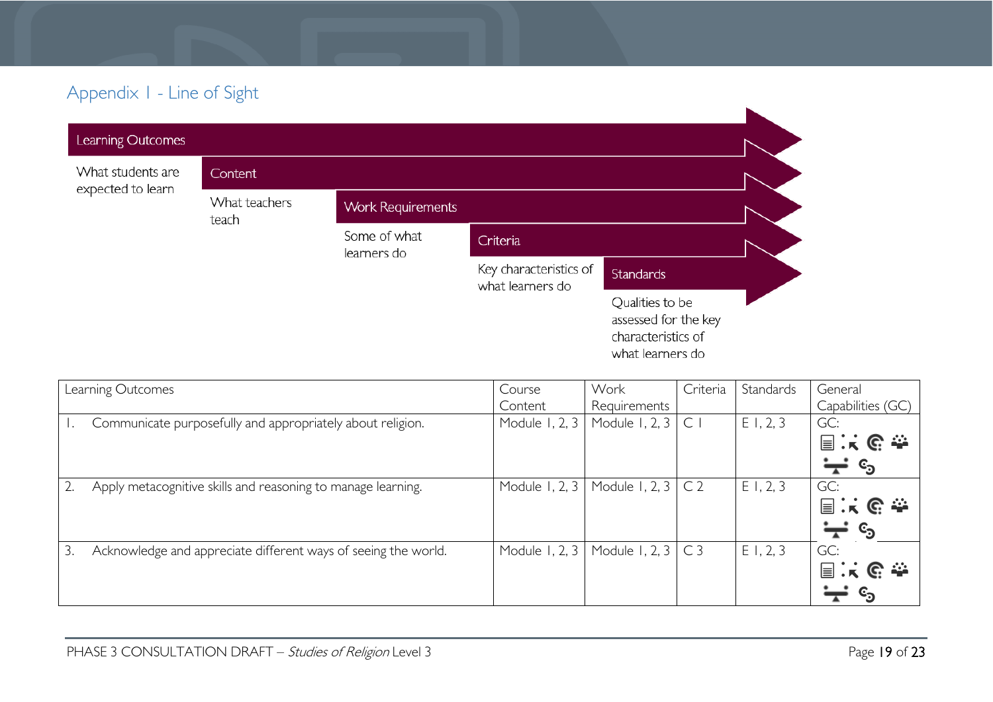# Appendix 1 - Line of Sight

| Learning Outcomes                      |                        |                             |                                            |                                                                                   |  |
|----------------------------------------|------------------------|-----------------------------|--------------------------------------------|-----------------------------------------------------------------------------------|--|
| What students are<br>expected to learn | Content                |                             |                                            |                                                                                   |  |
|                                        | What teachers<br>teach | <b>Work Requirements</b>    |                                            |                                                                                   |  |
|                                        |                        | Some of what<br>learners do | Criteria                                   |                                                                                   |  |
|                                        |                        |                             | Key characteristics of<br>what learners do | <b>Standards</b>                                                                  |  |
|                                        |                        |                             |                                            | Qualities to be<br>assessed for the key<br>characteristics of<br>what learners do |  |

<span id="page-18-0"></span>

|    | Learning Outcomes                                              | Course         | Work                           | Criteria        | Standards | General           |
|----|----------------------------------------------------------------|----------------|--------------------------------|-----------------|-----------|-------------------|
|    |                                                                | Content        | Requirements                   |                 |           | Capabilities (GC) |
|    | Communicate purposefully and appropriately about religion.     | Module 1, 2, 3 | Module 1, 2, 3 $\mid$ C $\mid$ |                 | E1, 2, 3  | GC:               |
|    |                                                                |                |                                |                 |           | 国民民泰              |
|    |                                                                |                |                                |                 |           | ©ු                |
|    | Apply metacognitive skills and reasoning to manage learning.   | Module 1, 2, 3 | Module 1, 2, 3                 | CC <sub>2</sub> | E1, 2, 3  | GC:               |
|    |                                                                |                |                                |                 |           | 国兴区泰              |
|    |                                                                |                |                                |                 |           | ©ු                |
| 3. | Acknowledge and appreciate different ways of seeing the world. | Module 1, 2, 3 | Module 1, 2, $3 \mid C3$       |                 | E1, 2, 3  | GC:               |
|    |                                                                |                |                                |                 |           | 国家哈奎              |
|    |                                                                |                |                                |                 |           | င <sub>ာ</sub>    |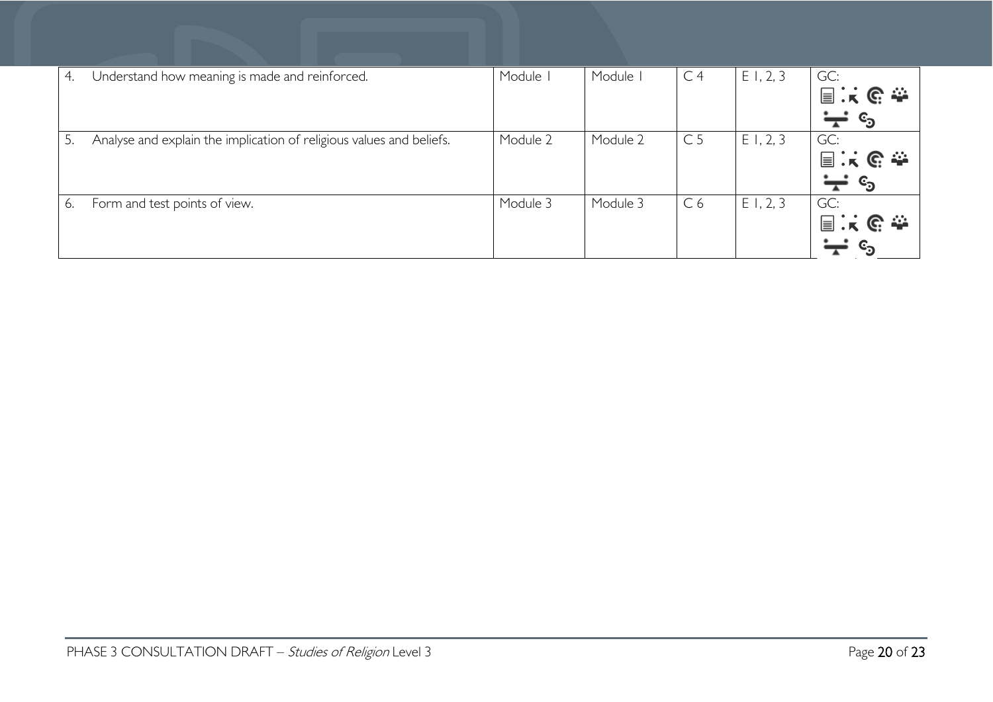| 4. | Understand how meaning is made and reinforced.                       | Module I | Module I | C <sub>4</sub> | E1, 2, 3 | GC:<br>国民巴泰<br>$c_{\rm b}$        |
|----|----------------------------------------------------------------------|----------|----------|----------------|----------|-----------------------------------|
| 5. | Analyse and explain the implication of religious values and beliefs. | Module 2 | Module 2 | C <sub>5</sub> | E1, 2, 3 | GC:<br>国民职责<br>$c_{\mathfrak{g}}$ |
| 6. | Form and test points of view.                                        | Module 3 | Module 3 | C6             | E1, 2, 3 | GC:<br>国民的泰                       |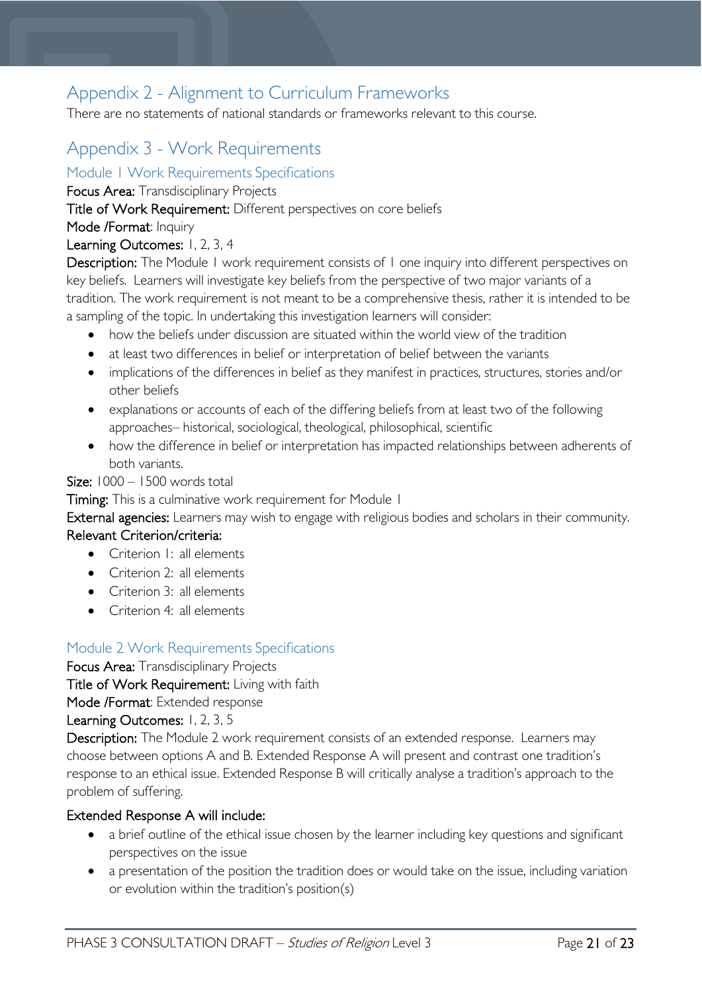# <span id="page-20-0"></span>Appendix 2 - Alignment to Curriculum Frameworks

There are no statements of national standards or frameworks relevant to this course.  

# <span id="page-20-1"></span>Appendix 3 - Work Requirements

<span id="page-20-2"></span>Module 1 Work Requirements Specifications

Focus Area: Transdisciplinary Projects

Title of Work Requirement: Different perspectives on core beliefs

Mode /Format: Inquiry

### Learning Outcomes: 1, 2, 3, 4

Description: The Module 1 work requirement consists of 1 one inquiry into different perspectives on key beliefs. Learners will investigate key beliefs from the perspective of two major variants of a tradition. The work requirement is not meant to be a comprehensive thesis, rather it is intended to be a sampling of the topic. In undertaking this investigation learners will consider:

- how the beliefs under discussion are situated within the world view of the tradition
- at least two differences in belief or interpretation of belief between the variants
- implications of the differences in belief as they manifest in practices, structures, stories and/or other beliefs
- explanations or accounts of each of the differing beliefs from at least two of the following approaches– historical, sociological, theological, philosophical, scientific
- how the difference in belief or interpretation has impacted relationships between adherents of both variants.

Size: 1000 – 1500 words total

Timing: This is a culminative work requirement for Module 1

External agencies: Learners may wish to engage with religious bodies and scholars in their community.

### Relevant Criterion/criteria:

- Criterion I: all elements
- Criterion 2: all elements
- Criterion 3: all elements
- Criterion 4: all elements

### <span id="page-20-3"></span>Module 2 Work Requirements Specifications

Focus Area: Transdisciplinary Projects

Title of Work Requirement: Living with faith

Mode /Format: Extended response

#### Learning Outcomes: 1, 2, 3, 5

Description: The Module 2 work requirement consists of an extended response. Learners may choose between options A and B. Extended Response A will present and contrast one tradition's response to an ethical issue. Extended Response B will critically analyse a tradition's approach to the problem of suffering.

#### Extended Response A will include:

- a brief outline of the ethical issue chosen by the learner including key questions and significant perspectives on the issue
- a presentation of the position the tradition does or would take on the issue, including variation or evolution within the tradition's position(s)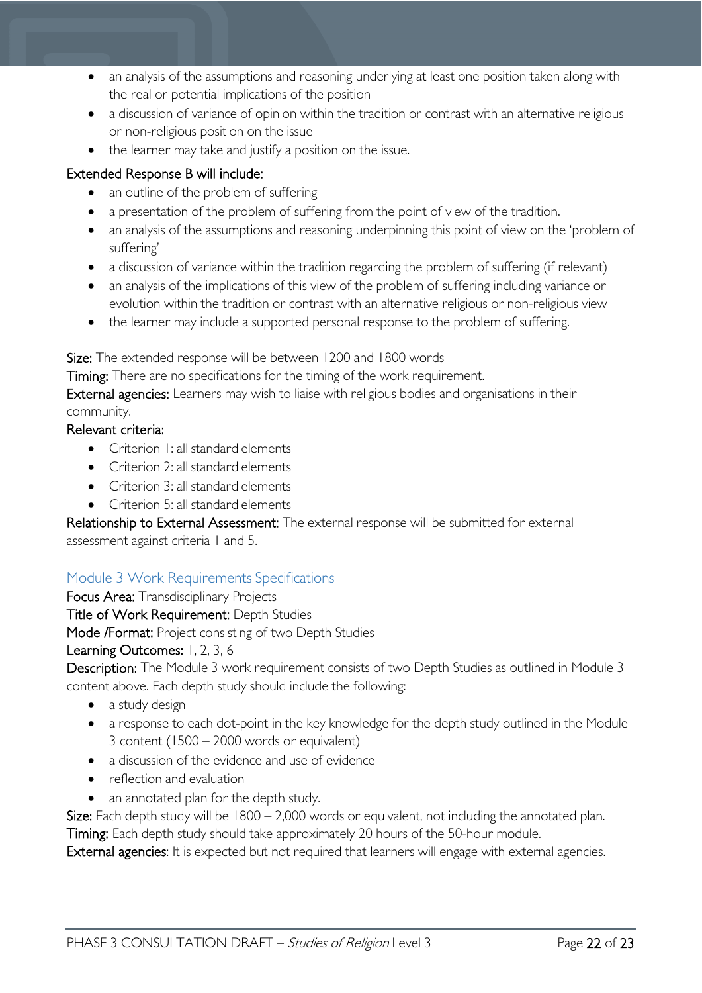- an analysis of the assumptions and reasoning underlying at least one position taken along with the real or potential implications of the position
- a discussion of variance of opinion within the tradition or contrast with an alternative religious or non-religious position on the issue
- the learner may take and justify a position on the issue.

### Extended Response B will include:

- an outline of the problem of suffering
- a presentation of the problem of suffering from the point of view of the tradition.
- an analysis of the assumptions and reasoning underpinning this point of view on the 'problem of suffering'
- a discussion of variance within the tradition regarding the problem of suffering (if relevant)
- an analysis of the implications of this view of the problem of suffering including variance or evolution within the tradition or contrast with an alternative religious or non-religious view
- the learner may include a supported personal response to the problem of suffering.

Size: The extended response will be between 1200 and 1800 words

Timing: There are no specifications for the timing of the work requirement.

External agencies: Learners may wish to liaise with religious bodies and organisations in their community.

#### Relevant criteria:

- Criterion 1: all standard elements
- Criterion 2: all standard elements
- Criterion 3: all standard elements
- Criterion 5: all standard elements

Relationship to External Assessment: The external response will be submitted for external assessment against criteria 1 and 5.

### <span id="page-21-0"></span>Module 3 Work Requirements Specifications

Focus Area: Transdisciplinary Projects Title of Work Requirement: Depth Studies

Mode /Format: Project consisting of two Depth Studies

### Learning Outcomes: 1, 2, 3, 6

Description: The Module 3 work requirement consists of two Depth Studies as outlined in Module 3 content above. Each depth study should include the following:

- a study design
- a response to each dot-point in the key knowledge for the depth study outlined in the Module 3 content (1500 – 2000 words or equivalent)
- a discussion of the evidence and use of evidence
- reflection and evaluation
- an annotated plan for the depth study.

Size: Each depth study will be  $1800 - 2,000$  words or equivalent, not including the annotated plan. Timing: Each depth study should take approximately 20 hours of the 50-hour module.

External agencies: It is expected but not required that learners will engage with external agencies.